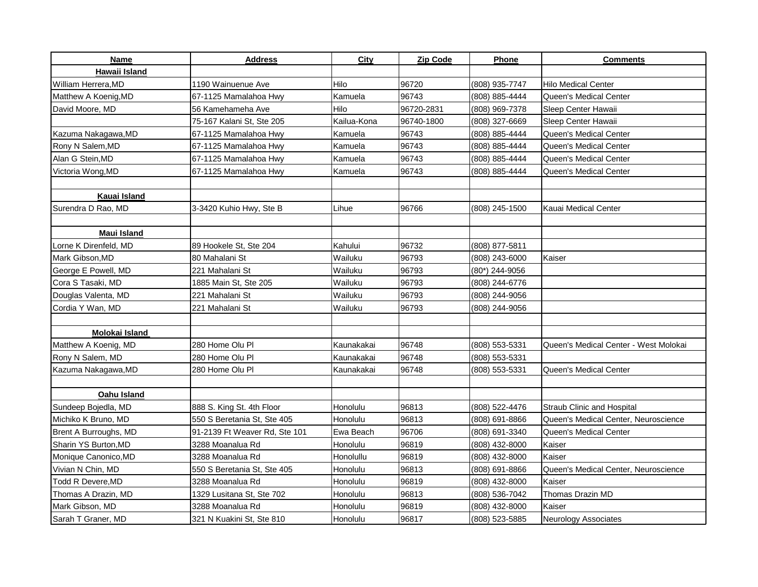| Name                  | <b>Address</b>                | City        | Zip Code   | <b>Phone</b>   | <b>Comments</b>                       |
|-----------------------|-------------------------------|-------------|------------|----------------|---------------------------------------|
| Hawaii Island         |                               |             |            |                |                                       |
| William Herrera, MD   | 1190 Wainuenue Ave            | Hilo        | 96720      | (808) 935-7747 | Hilo Medical Center                   |
| Matthew A Koenig, MD  | 67-1125 Mamalahoa Hwy         | Kamuela     | 96743      | (808) 885-4444 | Queen's Medical Center                |
| David Moore, MD       | 56 Kamehameha Ave             | Hilo        | 96720-2831 | (808) 969-7378 | Sleep Center Hawaii                   |
|                       | 75-167 Kalani St, Ste 205     | Kailua-Kona | 96740-1800 | (808) 327-6669 | Sleep Center Hawaii                   |
| Kazuma Nakagawa, MD   | 67-1125 Mamalahoa Hwy         | Kamuela     | 96743      | (808) 885-4444 | Queen's Medical Center                |
| Rony N Salem, MD      | 67-1125 Mamalahoa Hwy         | Kamuela     | 96743      | (808) 885-4444 | Queen's Medical Center                |
| Alan G Stein, MD      | 67-1125 Mamalahoa Hwy         | Kamuela     | 96743      | (808) 885-4444 | Queen's Medical Center                |
| Victoria Wong,MD      | 67-1125 Mamalahoa Hwy         | Kamuela     | 96743      | (808) 885-4444 | Queen's Medical Center                |
|                       |                               |             |            |                |                                       |
| Kauai Island          |                               |             |            |                |                                       |
| Surendra D Rao, MD    | 3-3420 Kuhio Hwy, Ste B       | Lihue       | 96766      | (808) 245-1500 | Kauai Medical Center                  |
|                       |                               |             |            |                |                                       |
| <b>Maui Island</b>    |                               |             |            |                |                                       |
| Lorne K Direnfeld, MD | 89 Hookele St, Ste 204        | Kahului     | 96732      | (808) 877-5811 |                                       |
| Mark Gibson.MD        | 80 Mahalani St                | Wailuku     | 96793      | (808) 243-6000 | Kaiser                                |
| George E Powell, MD   | 221 Mahalani St               | Wailuku     | 96793      | (80*) 244-9056 |                                       |
| Cora S Tasaki, MD     | 1885 Main St, Ste 205         | Wailuku     | 96793      | (808) 244-6776 |                                       |
| Douglas Valenta, MD   | 221 Mahalani St               | Wailuku     | 96793      | (808) 244-9056 |                                       |
| Cordia Y Wan, MD      | 221 Mahalani St               | Wailuku     | 96793      | (808) 244-9056 |                                       |
|                       |                               |             |            |                |                                       |
| Molokai Island        |                               |             |            |                |                                       |
| Matthew A Koenig, MD  | 280 Home Olu Pl               | Kaunakakai  | 96748      | (808) 553-5331 | Queen's Medical Center - West Molokai |
| Rony N Salem, MD      | 280 Home Olu Pl               | Kaunakakai  | 96748      | (808) 553-5331 |                                       |
| Kazuma Nakagawa, MD   | 280 Home Olu Pl               | Kaunakakai  | 96748      | (808) 553-5331 | Queen's Medical Center                |
|                       |                               |             |            |                |                                       |
| Oahu Island           |                               |             |            |                |                                       |
| Sundeep Bojedla, MD   | 888 S. King St. 4th Floor     | Honolulu    | 96813      | (808) 522-4476 | Straub Clinic and Hospital            |
| Michiko K Bruno, MD   | 550 S Beretania St, Ste 405   | Honolulu    | 96813      | (808) 691-8866 | Queen's Medical Center, Neuroscience  |
| Brent A Burroughs, MD | 91-2139 Ft Weaver Rd, Ste 101 | Ewa Beach   | 96706      | (808) 691-3340 | Queen's Medical Center                |
| Sharin YS Burton, MD  | 3288 Moanalua Rd              | Honolulu    | 96819      | (808) 432-8000 | Kaiser                                |
| Monique Canonico, MD  | 3288 Moanalua Rd              | Honolullu   | 96819      | (808) 432-8000 | Kaiser                                |
| Vivian N Chin, MD     | 550 S Beretania St, Ste 405   | Honolulu    | 96813      | (808) 691-8866 | Queen's Medical Center, Neuroscience  |
| Todd R Devere,MD      | 3288 Moanalua Rd              | Honolulu    | 96819      | (808) 432-8000 | Kaiser                                |
| Thomas A Drazin, MD   | 1329 Lusitana St, Ste 702     | Honolulu    | 96813      | (808) 536-7042 | Thomas Drazin MD                      |
| Mark Gibson, MD       | 3288 Moanalua Rd              | Honolulu    | 96819      | (808) 432-8000 | Kaiser                                |
| Sarah T Graner, MD    | 321 N Kuakini St. Ste 810     | Honolulu    | 96817      | (808) 523-5885 | <b>Neurology Associates</b>           |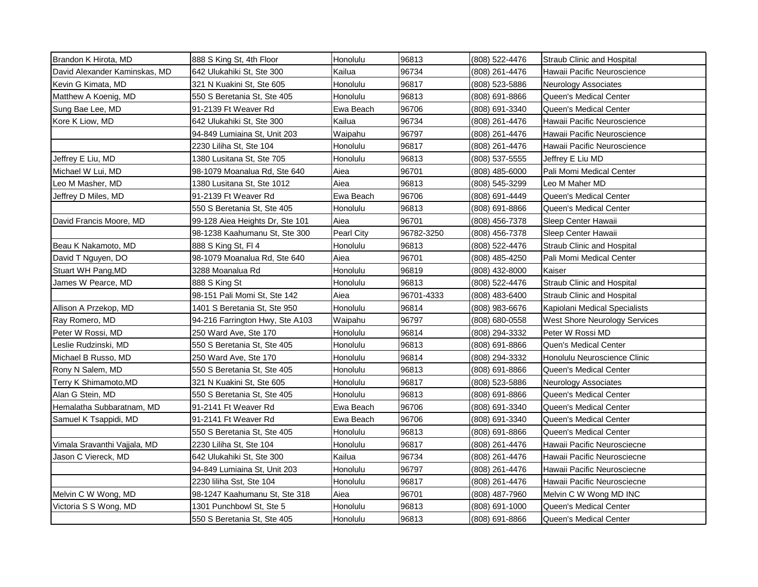| Brandon K Hirota, MD          | 888 S King St, 4th Floor        | Honolulu          | 96813      | (808) 522-4476 | Straub Clinic and Hospital        |
|-------------------------------|---------------------------------|-------------------|------------|----------------|-----------------------------------|
| David Alexander Kaminskas, MD | 642 Ulukahiki St, Ste 300       | Kailua            | 96734      | (808) 261-4476 | Hawaii Pacific Neuroscience       |
| Kevin G Kimata, MD            | 321 N Kuakini St, Ste 605       | Honolulu          | 96817      | (808) 523-5886 | Neurology Associates              |
| Matthew A Koenig, MD          | 550 S Beretania St, Ste 405     | Honolulu          | 96813      | (808) 691-8866 | Queen's Medical Center            |
| Sung Bae Lee, MD              | 91-2139 Ft Weaver Rd            | Ewa Beach         | 96706      | (808) 691-3340 | Queen's Medical Center            |
| Kore K Liow, MD               | 642 Ulukahiki St, Ste 300       | Kailua            | 96734      | (808) 261-4476 | Hawaii Pacific Neuroscience       |
|                               | 94-849 Lumiaina St, Unit 203    | Waipahu           | 96797      | (808) 261-4476 | Hawaii Pacific Neuroscience       |
|                               | 2230 Liliha St, Ste 104         | Honolulu          | 96817      | (808) 261-4476 | Hawaii Pacific Neuroscience       |
| Jeffrey E Liu, MD             | 1380 Lusitana St, Ste 705       | Honolulu          | 96813      | (808) 537-5555 | Jeffrey E Liu MD                  |
| Michael W Lui, MD             | 98-1079 Moanalua Rd, Ste 640    | Aiea              | 96701      | (808) 485-6000 | Pali Momi Medical Center          |
| Leo M Masher, MD              | 1380 Lusitana St. Ste 1012      | Aiea              | 96813      | (808) 545-3299 | Leo M Maher MD                    |
| Jeffrey D Miles, MD           | 91-2139 Ft Weaver Rd            | Ewa Beach         | 96706      | (808) 691-4449 | Queen's Medical Center            |
|                               | 550 S Beretania St, Ste 405     | Honolulu          | 96813      | (808) 691-8866 | Queen's Medical Center            |
| David Francis Moore, MD       | 99-128 Aiea Heights Dr, Ste 101 | Aiea              | 96701      | (808) 456-7378 | Sleep Center Hawaii               |
|                               | 98-1238 Kaahumanu St, Ste 300   | <b>Pearl City</b> | 96782-3250 | (808) 456-7378 | Sleep Center Hawaii               |
| Beau K Nakamoto, MD           | 888 S King St, Fl 4             | Honolulu          | 96813      | (808) 522-4476 | <b>Straub Clinic and Hospital</b> |
| David T Nguyen, DO            | 98-1079 Moanalua Rd, Ste 640    | Aiea              | 96701      | (808) 485-4250 | Pali Momi Medical Center          |
| Stuart WH Pang, MD            | 3288 Moanalua Rd                | Honolulu          | 96819      | (808) 432-8000 | Kaiser                            |
| James W Pearce, MD            | 888 S King St                   | Honolulu          | 96813      | (808) 522-4476 | <b>Straub Clinic and Hospital</b> |
|                               | 98-151 Pali Momi St, Ste 142    | Aiea              | 96701-4333 | (808) 483-6400 | <b>Straub Clinic and Hospital</b> |
| Allison A Przekop, MD         | 1401 S Beretania St, Ste 950    | Honolulu          | 96814      | (808) 983-6676 | Kapiolani Medical Specialists     |
| Ray Romero, MD                | 94-216 Farrington Hwy, Ste A103 | Waipahu           | 96797      | (808) 680-0558 | West Shore Neurology Services     |
| Peter W Rossi, MD             | 250 Ward Ave, Ste 170           | Honolulu          | 96814      | (808) 294-3332 | Peter W Rossi MD                  |
| Leslie Rudzinski, MD          | 550 S Beretania St, Ste 405     | Honolulu          | 96813      | (808) 691-8866 | Quen's Medical Center             |
| Michael B Russo, MD           | 250 Ward Ave, Ste 170           | Honolulu          | 96814      | (808) 294-3332 | Honolulu Neuroscience Clinic      |
| Rony N Salem, MD              | 550 S Beretania St, Ste 405     | Honolulu          | 96813      | (808) 691-8866 | Queen's Medical Center            |
| Terry K Shimamoto,MD          | 321 N Kuakini St, Ste 605       | Honolulu          | 96817      | (808) 523-5886 | <b>Neurology Associates</b>       |
| Alan G Stein, MD              | 550 S Beretania St, Ste 405     | Honolulu          | 96813      | (808) 691-8866 | Queen's Medical Center            |
| Hemalatha Subbaratnam, MD     | 91-2141 Ft Weaver Rd            | Ewa Beach         | 96706      | (808) 691-3340 | Queen's Medical Center            |
| Samuel K Tsappidi, MD         | 91-2141 Ft Weaver Rd            | Ewa Beach         | 96706      | (808) 691-3340 | Queen's Medical Center            |
|                               | 550 S Beretania St, Ste 405     | Honolulu          | 96813      | (808) 691-8866 | Queen's Medical Center            |
| Vimala Sravanthi Vajjala, MD  | 2230 Liliha St, Ste 104         | Honolulu          | 96817      | (808) 261-4476 | Hawaii Pacific Neurosciecne       |
| Jason C Viereck, MD           | 642 Ulukahiki St, Ste 300       | Kailua            | 96734      | (808) 261-4476 | Hawaii Pacific Neurosciecne       |
|                               | 94-849 Lumiaina St, Unit 203    | Honolulu          | 96797      | (808) 261-4476 | Hawaii Pacific Neurosciecne       |
|                               | 2230 liliha Sst, Ste 104        | Honolulu          | 96817      | (808) 261-4476 | Hawaii Pacific Neurosciecne       |
| Melvin C W Wong, MD           | 98-1247 Kaahumanu St, Ste 318   | Aiea              | 96701      | (808) 487-7960 | Melvin C W Wong MD INC            |
| Victoria S S Wong, MD         | 1301 Punchbowl St, Ste 5        | Honolulu          | 96813      | (808) 691-1000 | Queen's Medical Center            |
|                               | 550 S Beretania St, Ste 405     | Honolulu          | 96813      | (808) 691-8866 | Queen's Medical Center            |